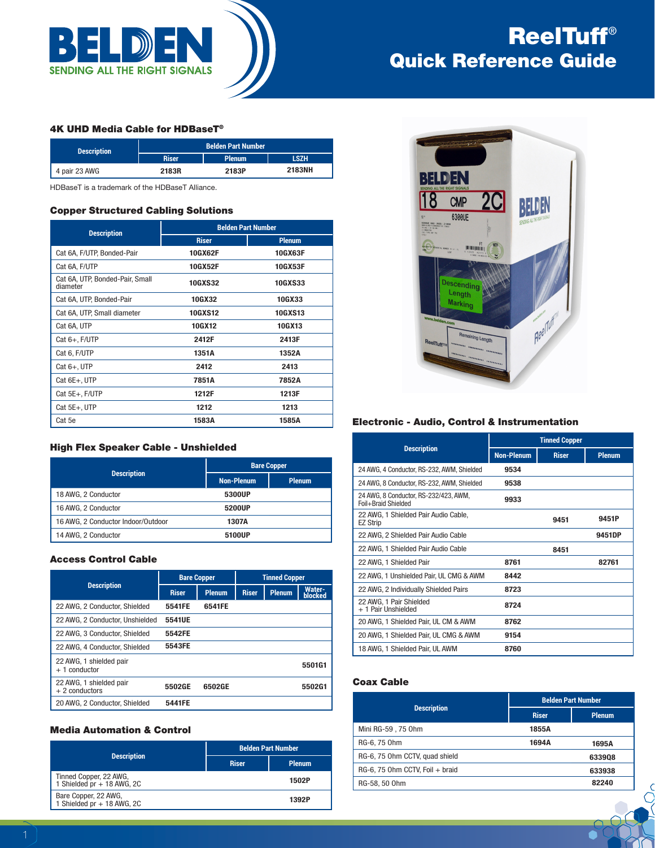

# ReelTuff® Quick Reference Guide

## 4K UHD Media Cable for HDBaseT®

| <b>Description</b> | <b>Belden Part Number</b> |               |             |  |
|--------------------|---------------------------|---------------|-------------|--|
|                    | <b>Riser</b>              | <b>Plenum</b> | <b>LSZH</b> |  |
| 4 pair 23 AWG      | 2183R                     | 2183P         | 2183NH      |  |

HDBaseT is a trademark of the HDBaseT Alliance.

#### Copper Structured Cabling Solutions

| <b>Description</b>                          | <b>Belden Part Number</b> |                |  |  |
|---------------------------------------------|---------------------------|----------------|--|--|
|                                             | <b>Riser</b>              | <b>Plenum</b>  |  |  |
| Cat 6A, F/UTP, Bonded-Pair                  | 10GX62F                   | 10GX63F        |  |  |
| Cat 6A, F/UTP                               | 10GX52F                   | 10GX53F        |  |  |
| Cat 6A, UTP, Bonded-Pair, Small<br>diameter | <b>10GXS32</b>            | <b>10GXS33</b> |  |  |
| Cat 6A, UTP, Bonded-Pair                    | 10GX32                    | 10GX33         |  |  |
| Cat 6A, UTP, Small diameter                 | <b>10GXS12</b>            | <b>10GXS13</b> |  |  |
| Cat 6A, UTP                                 | 10GX12                    | 10GX13         |  |  |
| Cat 6+, F/UTP                               | 2412F                     | 2413F          |  |  |
| Cat 6, F/UTP                                | 1351A                     | 1352A          |  |  |
| $Cat 6+, UTP$                               | 2412                      | 2413           |  |  |
| Cat 6E+, UTP                                | 7851A                     | 7852A          |  |  |
| Cat 5E+, F/UTP                              | 1212F                     | 1213F          |  |  |
| Cat 5E+, UTP                                | 1212                      | 1213           |  |  |
| Cat 5e                                      | 1583A                     | 1585A          |  |  |

## High Flex Speaker Cable - Unshielded

|                                    | <b>Bare Copper</b> |               |  |
|------------------------------------|--------------------|---------------|--|
| <b>Description</b>                 | <b>Non-Plenum</b>  | <b>Plenum</b> |  |
| 18 AWG, 2 Conductor                | 5300UP             |               |  |
| 16 AWG, 2 Conductor                | 5200UP             |               |  |
| 16 AWG, 2 Conductor Indoor/Outdoor | 1307A              |               |  |
| 14 AWG, 2 Conductor                | 5100UP             |               |  |

# Access Control Cable

|                                            | <b>Bare Copper</b> |               | <b>Tinned Copper</b> |               |                          |
|--------------------------------------------|--------------------|---------------|----------------------|---------------|--------------------------|
| <b>Description</b>                         | <b>Riser</b>       | <b>Plenum</b> | <b>Riser</b>         | <b>Plenum</b> | <b>Water-</b><br>blocked |
| 22 AWG, 2 Conductor, Shielded              | 5541FE             | 6541FE        |                      |               |                          |
| 22 AWG, 2 Conductor, Unshielded            | 5541UE             |               |                      |               |                          |
| 22 AWG, 3 Conductor, Shielded              | 5542FE             |               |                      |               |                          |
| 22 AWG, 4 Conductor, Shielded              | 5543FE             |               |                      |               |                          |
| 22 AWG, 1 shielded pair<br>$+1$ conductor  |                    |               |                      |               | 5501G1                   |
| 22 AWG. 1 shielded pair<br>$+2$ conductors | 5502GE             | 6502GE        |                      |               | 5502G1                   |
| 20 AWG. 2 Conductor, Shielded              | 5441FE             |               |                      |               |                          |

# Media Automation & Control

|                                                      | <b>Belden Part Number</b> |               |  |
|------------------------------------------------------|---------------------------|---------------|--|
| <b>Description</b>                                   | <b>Riser</b>              | <b>Plenum</b> |  |
| Tinned Copper, 22 AWG,<br>1 Shielded pr + 18 AWG, 2C |                           | 1502P         |  |
| Bare Copper, 22 AWG,<br>1 Shielded pr + 18 AWG, 2C   |                           | 1392P         |  |



#### Electronic - Audio, Control & Instrumentation

|                                                              |                   | <b>Tinned Copper</b> |               |
|--------------------------------------------------------------|-------------------|----------------------|---------------|
| <b>Description</b>                                           | <b>Non-Plenum</b> | <b>Riser</b>         | <b>Plenum</b> |
| 24 AWG, 4 Conductor, RS-232, AWM, Shielded                   | 9534              |                      |               |
| 24 AWG, 8 Conductor, RS-232, AWM, Shielded                   | 9538              |                      |               |
| 24 AWG, 8 Conductor, RS-232/423, AWM,<br>Foil+Braid Shielded | 9933              |                      |               |
| 22 AWG, 1 Shielded Pair Audio Cable,<br>EZ Strip             |                   | 9451                 | 9451P         |
| 22 AWG, 2 Shielded Pair Audio Cable                          |                   |                      | 9451DP        |
| 22 AWG, 1 Shielded Pair Audio Cable                          |                   | 8451                 |               |
| 22 AWG, 1 Shielded Pair                                      | 8761              |                      | 82761         |
| 22 AWG, 1 Unshielded Pair, UL CMG & AWM                      | 8442              |                      |               |
| 22 AWG, 2 Individually Shielded Pairs                        | 8723              |                      |               |
| 22 AWG, 1 Pair Shielded<br>+ 1 Pair Unshielded               | 8724              |                      |               |
| 20 AWG, 1 Shielded Pair, UL CM & AWM                         | 8762              |                      |               |
| 20 AWG, 1 Shielded Pair, UL CMG & AWM                        | 9154              |                      |               |
| 18 AWG, 1 Shielded Pair, UL AWM                              | 8760              |                      |               |

## Coax Cable

|                                 | <b>Belden Part Number</b> |               |  |
|---------------------------------|---------------------------|---------------|--|
| <b>Description</b>              | <b>Riser</b>              | <b>Plenum</b> |  |
| Mini RG-59, 75 0hm              | 1855A                     |               |  |
| RG-6, 75 0hm                    | 1694A                     | 1695A         |  |
| RG-6, 75 0hm CCTV, quad shield  |                           | 633908        |  |
| RG-6, 75 Ohm CCTV, Foil + braid |                           | 633938        |  |
| RG-58, 50 Ohm                   |                           | 82240         |  |

 $\delta$ 

€